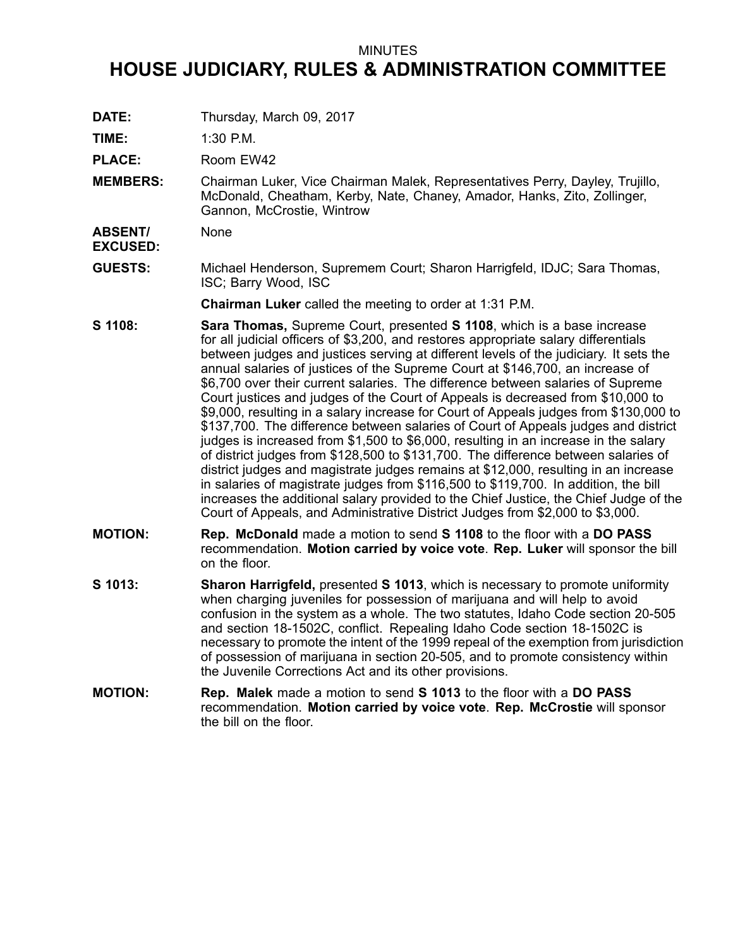## MINUTES

## **HOUSE JUDICIARY, RULES & ADMINISTRATION COMMITTEE**

**DATE:** Thursday, March 09, 2017

**TIME:** 1:30 P.M.

PLACE: Room EW42

**MEMBERS:** Chairman Luker, Vice Chairman Malek, Representatives Perry, Dayley, Trujillo, McDonald, Cheatham, Kerby, Nate, Chaney, Amador, Hanks, Zito, Zollinger, Gannon, McCrostie, Wintrow

**ABSENT/ EXCUSED:** None

**GUESTS:** Michael Henderson, Supremem Court; Sharon Harrigfeld, IDJC; Sara Thomas, ISC; Barry Wood, ISC

**Chairman Luker** called the meeting to order at 1:31 P.M.

- **S 1108: Sara Thomas,** Supreme Court, presented **S 1108**, which is <sup>a</sup> base increase for all judicial officers of \$3,200, and restores appropriate salary differentials between judges and justices serving at different levels of the judiciary. It sets the annual salaries of justices of the Supreme Court at \$146,700, an increase of \$6,700 over their current salaries. The difference between salaries of Supreme Court justices and judges of the Court of Appeals is decreased from \$10,000 to \$9,000, resulting in <sup>a</sup> salary increase for Court of Appeals judges from \$130,000 to \$137,700. The difference between salaries of Court of Appeals judges and district judges is increased from \$1,500 to \$6,000, resulting in an increase in the salary of district judges from \$128,500 to \$131,700. The difference between salaries of district judges and magistrate judges remains at \$12,000, resulting in an increase in salaries of magistrate judges from \$116,500 to \$119,700. In addition, the bill increases the additional salary provided to the Chief Justice, the Chief Judge of the Court of Appeals, and Administrative District Judges from \$2,000 to \$3,000.
- **MOTION: Rep. McDonald** made <sup>a</sup> motion to send **S 1108** to the floor with <sup>a</sup> **DO PASS** recommendation. **Motion carried by voice vote**. **Rep. Luker** will sponsor the bill on the floor.
- **S 1013: Sharon Harrigfeld,** presented **S 1013**, which is necessary to promote uniformity when charging juveniles for possession of marijuana and will help to avoid confusion in the system as <sup>a</sup> whole. The two statutes, Idaho Code section 20-505 and section 18-1502C, conflict. Repealing Idaho Code section 18-1502C is necessary to promote the intent of the 1999 repeal of the exemption from jurisdiction of possession of marijuana in section 20-505, and to promote consistency within the Juvenile Corrections Act and its other provisions.
- **MOTION: Rep. Malek** made <sup>a</sup> motion to send **S 1013** to the floor with <sup>a</sup> **DO PASS** recommendation. **Motion carried by voice vote**. **Rep. McCrostie** will sponsor the bill on the floor.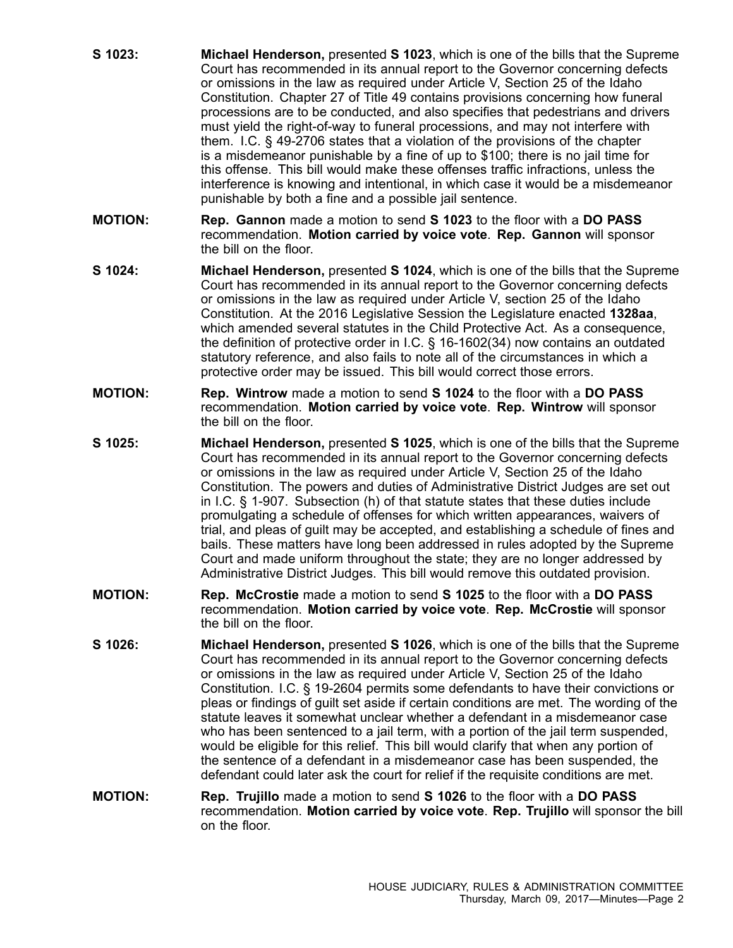- **S 1023: Michael Henderson,** presented **S 1023**, which is one of the bills that the Supreme Court has recommended in its annual report to the Governor concerning defects or omissions in the law as required under Article V, Section 25 of the Idaho Constitution. Chapter 27 of Title 49 contains provisions concerning how funeral processions are to be conducted, and also specifies that pedestrians and drivers must yield the right-of-way to funeral processions, and may not interfere with them. I.C. § 49-2706 states that <sup>a</sup> violation of the provisions of the chapter is <sup>a</sup> misdemeanor punishable by <sup>a</sup> fine of up to \$100; there is no jail time for this offense. This bill would make these offenses traffic infractions, unless the interference is knowing and intentional, in which case it would be <sup>a</sup> misdemeanor punishable by both <sup>a</sup> fine and <sup>a</sup> possible jail sentence.
- **MOTION: Rep. Gannon** made <sup>a</sup> motion to send **S 1023** to the floor with <sup>a</sup> **DO PASS** recommendation. **Motion carried by voice vote**. **Rep. Gannon** will sponsor the bill on the floor.
- **S 1024: Michael Henderson,** presented **S 1024**, which is one of the bills that the Supreme Court has recommended in its annual report to the Governor concerning defects or omissions in the law as required under Article V, section 25 of the Idaho Constitution. At the 2016 Legislative Session the Legislature enacted **1328aa**, which amended several statutes in the Child Protective Act. As <sup>a</sup> consequence, the definition of protective order in I.C. § 16-1602(34) now contains an outdated statutory reference, and also fails to note all of the circumstances in which <sup>a</sup> protective order may be issued. This bill would correct those errors.
- **MOTION: Rep. Wintrow** made <sup>a</sup> motion to send **S 1024** to the floor with <sup>a</sup> **DO PASS** recommendation. **Motion carried by voice vote**. **Rep. Wintrow** will sponsor the bill on the floor.
- **S 1025: Michael Henderson,** presented **S 1025**, which is one of the bills that the Supreme Court has recommended in its annual report to the Governor concerning defects or omissions in the law as required under Article V, Section 25 of the Idaho Constitution. The powers and duties of Administrative District Judges are set out in I.C. § 1-907. Subsection (h) of that statute states that these duties include promulgating <sup>a</sup> schedule of offenses for which written appearances, waivers of trial, and pleas of guilt may be accepted, and establishing <sup>a</sup> schedule of fines and bails. These matters have long been addressed in rules adopted by the Supreme Court and made uniform throughout the state; they are no longer addressed by Administrative District Judges. This bill would remove this outdated provision.
- **MOTION: Rep. McCrostie** made <sup>a</sup> motion to send **S 1025** to the floor with <sup>a</sup> **DO PASS** recommendation. **Motion carried by voice vote**. **Rep. McCrostie** will sponsor the bill on the floor.
- **S 1026: Michael Henderson,** presented **S 1026**, which is one of the bills that the Supreme Court has recommended in its annual report to the Governor concerning defects or omissions in the law as required under Article V, Section 25 of the Idaho Constitution. I.C. § 19-2604 permits some defendants to have their convictions or pleas or findings of guilt set aside if certain conditions are met. The wording of the statute leaves it somewhat unclear whether a defendant in a misdemeanor case who has been sentenced to <sup>a</sup> jail term, with <sup>a</sup> portion of the jail term suspended, would be eligible for this relief. This bill would clarify that when any portion of the sentence of <sup>a</sup> defendant in <sup>a</sup> misdemeanor case has been suspended, the defendant could later ask the court for relief if the requisite conditions are met.
- **MOTION: Rep. Trujillo** made <sup>a</sup> motion to send **S 1026** to the floor with <sup>a</sup> **DO PASS** recommendation. **Motion carried by voice vote**. **Rep. Trujillo** will sponsor the bill on the floor.